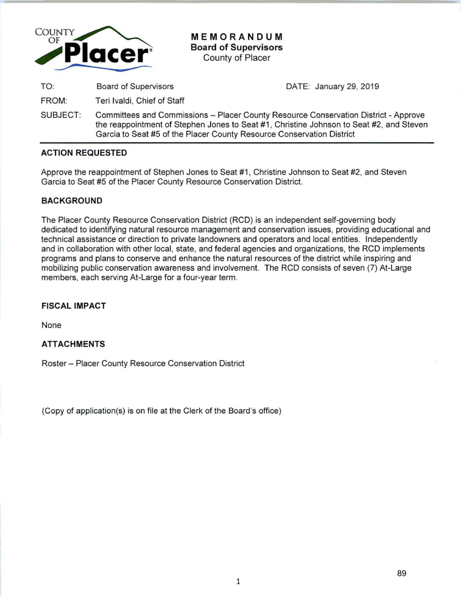

**MEMORANDUM Board of Supervisors**  County of Placer

TO: Board of Supervisors

FROM: Teri lvaldi, Chief of Staff DATE: January 29, 2019

SUBJECT: Committees and Commissions- Placer County Resource Conservation District- Approve the reappointment of Stephen Jones to Seat #1, Christine Johnson to Seat #2, and Steven Garcia to Seat #5 of the Placer County Resource Conservation District

# **ACTION REQUESTED**

Approve the reappointment of Stephen Jones to Seat #1 , Christine Johnson to Seat #2, and Steven Garcia to Seat #5 of the Placer County Resource Conservation District.

# **BACKGROUND**

The Placer County Resource Conservation District (RCD) is an independent self-governing body dedicated to identifying natural resource management and conservation issues, providing educational and technical assistance or direction to private landowners and operators and local entities. Independently and in collaboration with other local, state, and federal agencies and organizations, the RCD implements programs and plans to conserve and enhance the natural resources of the district while inspiring and mobilizing public conservation awareness and involvement. The RCD consists of seven (7) At-Large members, each serving At-Large for a four-year term.

## **FISCAL IMPACT**

None

## **ATTACHMENTS**

Roster- Placer County Resource Conservation District

(Copy of application(s) is on file at the Clerk of the Board's office)